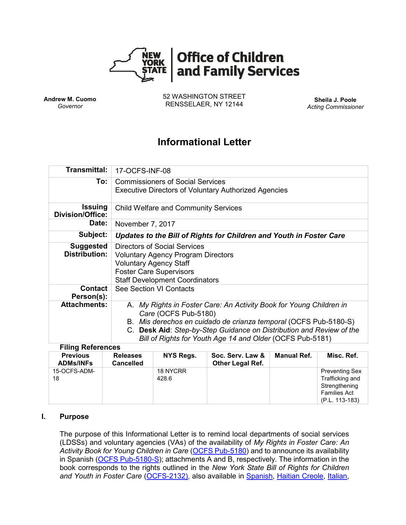

**Andrew M. Cuomo** *Governor*

52 WASHINGTON STREET RENSSELAER, NY 12144 **Sheila J. Poole**

*Acting Commissioner*

# **Informational Letter**

| <b>Transmittal:</b>                       | 17-OCFS-INF-08                                                                                                                                                                                                                                                                                       |  |  |  |  |
|-------------------------------------------|------------------------------------------------------------------------------------------------------------------------------------------------------------------------------------------------------------------------------------------------------------------------------------------------------|--|--|--|--|
| To:                                       | <b>Commissioners of Social Services</b><br><b>Executive Directors of Voluntary Authorized Agencies</b>                                                                                                                                                                                               |  |  |  |  |
| <b>Issuing</b><br><b>Division/Office:</b> | <b>Child Welfare and Community Services</b>                                                                                                                                                                                                                                                          |  |  |  |  |
| Date:                                     | November 7, 2017                                                                                                                                                                                                                                                                                     |  |  |  |  |
| Subject:                                  | Updates to the Bill of Rights for Children and Youth in Foster Care                                                                                                                                                                                                                                  |  |  |  |  |
| <b>Suggested</b><br><b>Distribution:</b>  | Directors of Social Services<br><b>Voluntary Agency Program Directors</b><br><b>Voluntary Agency Staff</b><br><b>Foster Care Supervisors</b><br><b>Staff Development Coordinators</b>                                                                                                                |  |  |  |  |
| <b>Contact</b><br>Person(s):              | See Section VI Contacts                                                                                                                                                                                                                                                                              |  |  |  |  |
| <b>Attachments:</b>                       | A. My Rights in Foster Care: An Activity Book for Young Children in<br>Care (OCFS Pub-5180)<br>B. Mis derechos en cuidado de crianza temporal (OCFS Pub-5180-S)<br>C. Desk Aid: Step-by-Step Guidance on Distribution and Review of the<br>Bill of Rights for Youth Age 14 and Older (OCFS Pub-5181) |  |  |  |  |

### **Filing References**

| <b>Previous</b><br><b>ADMs/INFs</b> | <b>Releases</b><br><b>Cancelled</b> | <b>NYS Regs.</b>  | Soc. Serv. Law &<br><b>Other Legal Ref.</b> | Manual Ref. | Misc. Ref.                                                                                         |
|-------------------------------------|-------------------------------------|-------------------|---------------------------------------------|-------------|----------------------------------------------------------------------------------------------------|
| 15-OCFS-ADM-<br>18                  |                                     | 18 NYCRR<br>428.6 |                                             |             | <b>Preventing Sex</b><br>Trafficking and<br>Strengthening<br><b>Families Act</b><br>(P.L. 113-183) |

#### **I. Purpose**

The purpose of this Informational Letter is to remind local departments of social services (LDSSs) and voluntary agencies (VAs) of the availability of *My Rights in Foster Care: An Activity Book for Young Children in Care* [\(OCFS Pub-5180\)](http://ocfs.ny.gov/main/publications/My-Rights-in-Foster-Care_activity-book.pdf) and to announce its availability in Spanish [\(OCFS Pub-5180-S\)](http://ocfs.ny.gov/main/publications/5180-S_Mis-Derechos%20en-Cuidado-de-Crianza-Temporal.pdf); attachments A and B, respectively. The information in the book corresponds to the rights outlined in the *New York State Bill of Rights for Children and Youth in Foster Care* [\(OCFS-2132\)](http://ocfs.ny.gov/main/Forms/Foster_Care/OCFS-2132.dot), also available in [Spanish,](http://ocfs.ny.gov/main/Forms/Foster_Care/OCFS-2132-S.dot) [Haitian Creole,](http://ocfs.ny.gov/main/Forms/Foster_Care/OCFS-2132-HC.pdf) [Italian,](http://ocfs.ny.gov/main/Forms/Foster_Care/OCFS-2132-IT.pdf)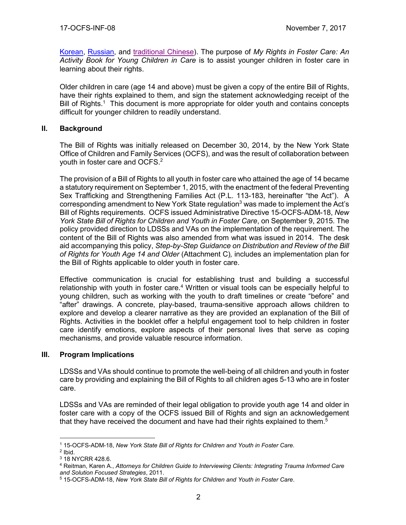[Korean,](http://ocfs.ny.gov/main/Forms/Foster_Care/OCFS-2132-KO.pdf) [Russian,](http://ocfs.ny.gov/main/Forms/Foster_Care/OCFS-2132-RU.pdf) and [traditional Chinese\)](http://ocfs.ny.gov/main/Forms/Foster_Care/OCFS-2132-TC.pdf). The purpose of *My Rights in Foster Care: An Activity Book for Young Children in Care* is to assist younger children in foster care in learning about their rights.

Older children in care (age 14 and above) must be given a copy of the entire Bill of Rights, have their rights explained to them, and sign the statement acknowledging receipt of the Bill of Rights.<sup>1</sup> This document is more appropriate for older youth and contains concepts difficult for younger children to readily understand.

## **II. Background**

The Bill of Rights was initially released on December 30, 2014, by the New York State Office of Children and Family Services (OCFS), and was the result of collaboration between youth in foster care and OCFS. 2

The provision of a Bill of Rights to all youth in foster care who attained the age of 14 became a statutory requirement on September 1, 2015, with the enactment of the federal Preventing Sex Trafficking and Strengthening Families Act (P.L. 113-183, hereinafter "the Act"). A corresponding amendment to New York State regulation<sup>3</sup> was made to implement the Act's Bill of Rights requirements. OCFS issued Administrative Directive 15-OCFS-ADM-18, *New York State Bill of Rights for Children and Youth in Foster Care*, on September 9, 2015. The policy provided direction to LDSSs and VAs on the implementation of the requirement. The content of the Bill of Rights was also amended from what was issued in 2014. The desk aid accompanying this policy, *Step-by-Step Guidance on Distribution and Review of the Bill of Rights for Youth Age 14 and Older* (Attachment C)*,* includes an implementation plan for the Bill of Rights applicable to older youth in foster care.

Effective communication is crucial for establishing trust and building a successful relationship with youth in foster care.<sup>4</sup> Written or visual tools can be especially helpful to young children, such as working with the youth to draft timelines or create "before" and "after" drawings. A concrete, play-based, trauma-sensitive approach allows children to explore and develop a clearer narrative as they are provided an explanation of the Bill of Rights. Activities in the booklet offer a helpful engagement tool to help children in foster care identify emotions, explore aspects of their personal lives that serve as coping mechanisms, and provide valuable resource information.

### **III. Program Implications**

LDSSs and VAs should continue to promote the well-being of all children and youth in foster care by providing and explaining the Bill of Rights to all children ages 5-13 who are in foster care.

LDSSs and VAs are reminded of their legal obligation to provide youth age 14 and older in foster care with a copy of the OCFS issued Bill of Rights and sign an acknowledgement that they have received the document and have had their rights explained to them.<sup>5</sup>

 $\overline{a}$ <sup>1</sup> 15-OCFS-ADM-18, *New York State Bill of Rights for Children and Youth in Foster Care.*

<sup>2</sup> Ibid.

<sup>3</sup> 18 NYCRR 428.6.

<sup>4</sup> Reitman, Karen A., *Attorneys for Children Guide to Interviewing Clients: Integrating Trauma Informed Care and Solution Focused Strategies*, 2011.

<sup>5</sup> 15-OCFS-ADM-18, *New York State Bill of Rights for Children and Youth in Foster Care*.